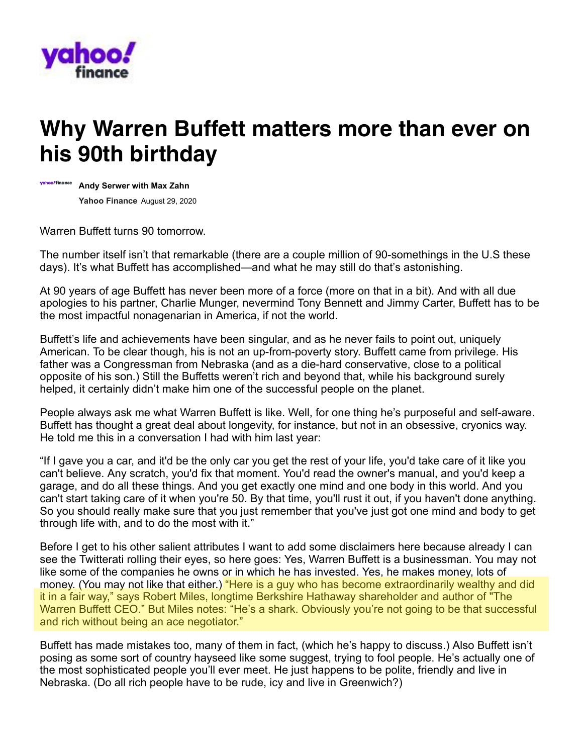

## **Why Warren Buffett matters more than ever on his 90th birthday**



**Andy Serwer with Max Zahn Yahoo Finance** August 29, 2020

Warren Buffett turns 90 tomorrow.

The number itself isn't that remarkable (there are a couple million of 90-somethings in the U.S these days). It's what Buffett has accomplished—and what he may still do that's astonishing.

At 90 years of age Buffett has never been more of a force (more on that in a bit). And with all due apologies to his partner, Charlie Munger, nevermind Tony Bennett and Jimmy Carter, Buffett has to be the most impactful nonagenarian in America, if not the world.

Buffett's life and achievements have been singular, and as he never fails to point out, uniquely American. To be clear though, his is not an up-from-poverty story. Buffett came from privilege. His father was a Congressman from Nebraska (and as a die-hard conservative, close to a political opposite of his son.) Still the Buffetts weren't rich and beyond that, while his background surely helped, it certainly didn't make him one of the successful people on the planet.

People always ask me what Warren Buffett is like. Well, for one thing he's purposeful and self-aware. Buffett has thought a great deal about longevity, for instance, but not in an obsessive, cryonics way. He told me this in a conversation I had with him last year:

"If I gave you a car, and it'd be the only car you get the rest of your life, you'd take care of it like you can't believe. Any scratch, you'd fix that moment. You'd read the owner's manual, and you'd keep a garage, and do all these things. And you get exactly one mind and one body in this world. And you can't start taking care of it when you're 50. By that time, you'll rust it out, if you haven't done anything. So you should really make sure that you just remember that you've just got one mind and body to get through life with, and to do the most with it."

Before I get to his other salient attributes I want to add some disclaimers here because already I can see the Twitterati rolling their eyes, so here goes: Yes, Warren Buffett is a businessman. You may not like some of the companies he owns or in which he has invested. Yes, he makes money, lots of money. (You may not like that either.) "Here is a guy who has become extraordinarily wealthy and did it in a fair way," says Robert Miles, longtime Berkshire Hathaway shareholder and author of "The Warren Buffett CEO." But Miles notes: "He's a shark. Obviously you're not going to be that successful and rich without being an ace negotiator."

Buffett has made mistakes too, many of them in fact, (which he's happy to discuss.) Also Buffett isn't posing as some sort of country hayseed like some suggest, trying to fool people. He's actually one of the most sophisticated people you'll ever meet. He just happens to be polite, friendly and live in Nebraska. (Do all rich people have to be rude, icy and live in Greenwich?)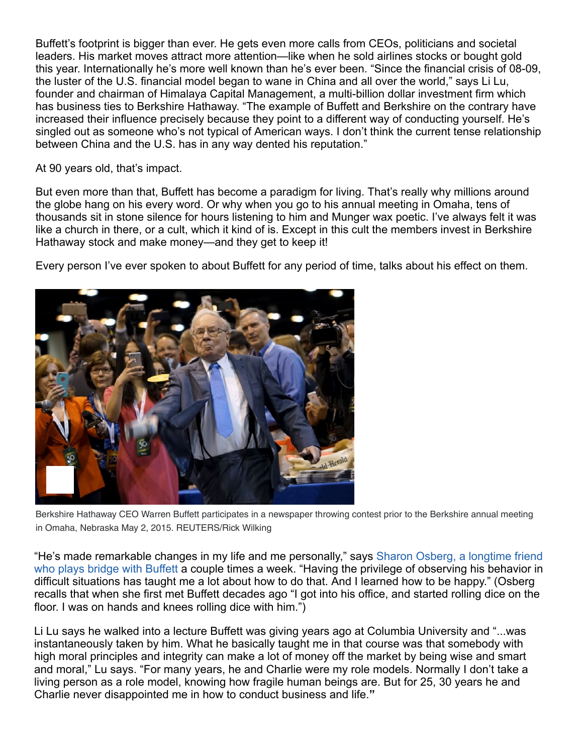Buffett's footprint is bigger than ever. He gets even more calls from CEOs, politicians and societal leaders. His market moves attract more attention—like when he sold airlines stocks or bought gold this year. Internationally he's more well known than he's ever been. "Since the financial crisis of 08-09, the luster of the U.S. financial model began to wane in China and all over the world," says Li Lu, founder and chairman of Himalaya Capital Management, a multi-billion dollar investment firm which has business ties to Berkshire Hathaway. "The example of Buffett and Berkshire on the contrary have increased their influence precisely because they point to a different way of conducting yourself. He's singled out as someone who's not typical of American ways. I don't think the current tense relationship between China and the U.S. has in any way dented his reputation."

At 90 years old, that's impact.

But even more than that, Buffett has become a paradigm for living. That's really why millions around the globe hang on his every word. Or why when you go to his annual meeting in Omaha, tens of thousands sit in stone silence for hours listening to him and Munger wax poetic. I've always felt it was like a church in there, or a cult, which it kind of is. Except in this cult the members invest in Berkshire Hathaway stock and make money—and they get to keep it!

Every person I've ever spoken to about Buffett for any period of time, talks about his effect on them.



Berkshire Hathaway CEO Warren Buffett participates in a newspaper throwing contest prior to the Berkshire annual meeting in Omaha, Nebraska May 2, 2015. REUTERS/Rick Wilking

"He's made remarkable changes in my life and me personally," says Sharon Osberg, a longtime friend who plays bridge with Buffett a couple times a week. "Having the privilege of observing his behavior in difficult situations has taught me a lot about how to do that. And I learned how to be happy." (Osberg recalls that when she first met Buffett decades ago "I got into his office, and started rolling dice on the floor. I was on hands and knees rolling dice with him.")

Li Lu says he walked into a lecture Buffett was giving years ago at Columbia University and "...was instantaneously taken by him. What he basically taught me in that course was that somebody with high moral principles and integrity can make a lot of money off the market by being wise and smart and moral," Lu says. "For many years, he and Charlie were my role models. Normally I don't take a living person as a role model, knowing how fragile human beings are. But for 25, 30 years he and Charlie never disappointed me in how to conduct business and life.**"**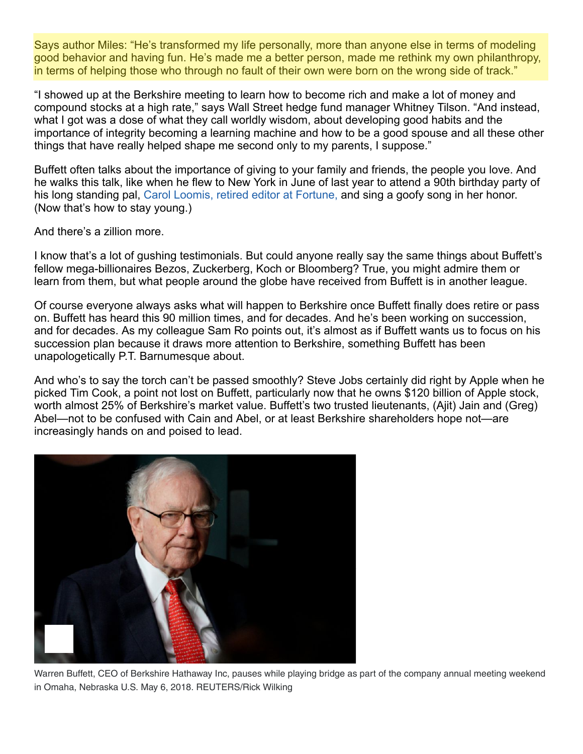Says author Miles: "He's transformed my life personally, more than anyone else in terms of modeling good behavior and having fun. He's made me a better person, made me rethink my own philanthropy, in terms of helping those who through no fault of their own were born on the wrong side of track."

"I showed up at the Berkshire meeting to learn how to become rich and make a lot of money and compound stocks at a high rate," says Wall Street hedge fund manager Whitney Tilson. "And instead, what I got was a dose of what they call worldly wisdom, about developing good habits and the importance of integrity becoming a learning machine and how to be a good spouse and all these other things that have really helped shape me second only to my parents, I suppose."

Buffett often talks about the importance of giving to your family and friends, the people you love. And he walks this talk, like when he flew to New York in June of last year to attend a 90th birthday party of his long standing pal, Carol Loomis, retired editor at Fortune, and sing a goofy song in her honor. (Now that's how to stay young.)

And there's a zillion more.

I know that's a lot of gushing testimonials. But could anyone really say the same things about Buffett's fellow mega-billionaires Bezos, Zuckerberg, Koch or Bloomberg? True, you might admire them or learn from them, but what people around the globe have received from Buffett is in another league.

Of course everyone always asks what will happen to Berkshire once Buffett finally does retire or pass on. Buffett has heard this 90 million times, and for decades. And he's been working on succession, and for decades. As my colleague Sam Ro points out, it's almost as if Buffett wants us to focus on his succession plan because it draws more attention to Berkshire, something Buffett has been unapologetically P.T. Barnumesque about.

And who's to say the torch can't be passed smoothly? Steve Jobs certainly did right by Apple when he picked Tim Cook, a point not lost on Buffett, particularly now that he owns \$120 billion of Apple stock, worth almost 25% of Berkshire's market value. Buffett's two trusted lieutenants, (Ajit) Jain and (Greg) Abel—not to be confused with Cain and Abel, or at least Berkshire shareholders hope not—are increasingly hands on and poised to lead.



Warren Buffett, CEO of Berkshire Hathaway Inc, pauses while playing bridge as part of the company annual meeting weekend in Omaha, Nebraska U.S. May 6, 2018. REUTERS/Rick Wilking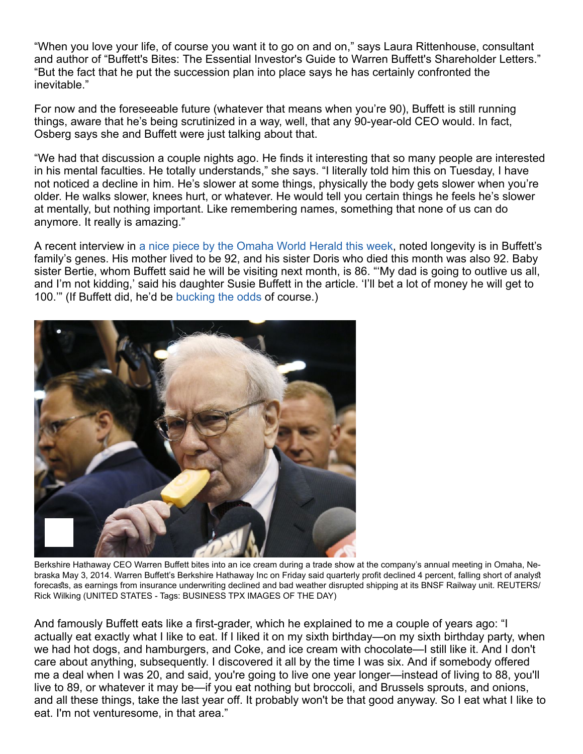"When you love your life, of course you want it to go on and on," says Laura Rittenhouse, consultant and author of "Buffett's Bites: The Essential Investor's Guide to Warren Buffett's Shareholder Letters." "But the fact that he put the succession plan into place says he has certainly confronted the inevitable."

For now and the foreseeable future (whatever that means when you're 90), Buffett is still running things, aware that he's being scrutinized in a way, well, that any 90-year-old CEO would. In fact, Osberg says she and Buffett were just talking about that.

"We had that discussion a couple nights ago. He finds it interesting that so many people are interested in his mental faculties. He totally understands," she says. "I literally told him this on Tuesday, I have not noticed a decline in him. He's slower at some things, physically the body gets slower when you're older. He walks slower, knees hurt, or whatever. He would tell you certain things he feels he's slower at mentally, but nothing important. Like remembering names, something that none of us can do anymore. It really is amazing."

A recent interview in [a nice piece by the Omaha World Herald this week,](https://omaha.com/business/local/omaha-s-megabillionaire-down-the-street-warren-buffett-set-to-celebrate-his-90th-birthday/article_52ccc925-378c-5094-8a1f-b57b3d3fb8bc.html) noted longevity is in Buffett's family's genes. His mother lived to be 92, and his sister Doris who died this month was also 92. Baby sister Bertie, whom Buffett said he will be visiting next month, is 86. "'My dad is going to outlive us all, and I'm not kidding,' said his daughter Susie Buffett in the article. 'I'll bet a lot of money he will get to 100.'" (If Buffett did, he'd be bucking the odds of course.)



forecasts, as earnings from insurance underwriting declined and bad weather disrupted shipping at its BNSF Railway unit. REUTERS/ Rick Wilking (UNITED STATES - Tags: BUSINESS TPX IMAGES OF THE DAY) Berkshire Hathaway CEO Warren Buffett bites into an ice cream during a trade show at the company's annual meeting in Omaha, Nebraska May 3, 2014. Warren Buffett's Berkshire Hathaway Inc on Friday said quarterly profit declined 4 percent, falling short of analyst

And famously Buffett eats like a first-grader, which he explained to me a couple of years ago: "I actually eat exactly what I like to eat. If I liked it on my sixth birthday—on my sixth birthday party, when we had hot dogs, and hamburgers, and Coke, and ice cream with chocolate—I still like it. And I don't care about anything, subsequently. I discovered it all by the time I was six. And if somebody offered me a deal when I was 20, and said, you're going to live one year longer—instead of living to 88, you'll live to 89, or whatever it may be—if you eat nothing but broccoli, and Brussels sprouts, and onions, and all these things, take the last year off. It probably won't be that good anyway. So I eat what I like to eat. I'm not venturesome, in that area."